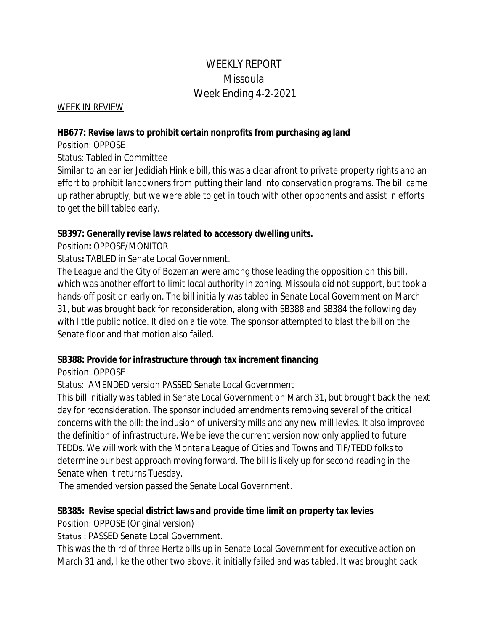# WEEKLY REPORT Missoula Week Ending 4-2-2021

WEEK IN REVIEW

#### **HB677: Revise laws to prohibit certain nonprofits from purchasing ag land**

Position: OPPOSE

Status: Tabled in Committee

Similar to an earlier Jedidiah Hinkle bill, this was a clear afront to private property rights and an effort to prohibit landowners from putting their land into conservation programs. The bill came up rather abruptly, but we were able to get in touch with other opponents and assist in efforts to get the bill tabled early.

## **SB397: Generally revise laws related to accessory dwelling units.**

Position**:** OPPOSE/MONITOR

Status**:** TABLED in Senate Local Government.

The League and the City of Bozeman were among those leading the opposition on this bill, which was another effort to limit local authority in zoning. Missoula did not support, but took a hands-off position early on. The bill initially was tabled in Senate Local Government on March 31, but was brought back for reconsideration, along with SB388 and SB384 the following day with little public notice. It died on a tie vote. The sponsor attempted to blast the bill on the Senate floor and that motion also failed.

## **SB388: Provide for infrastructure through tax increment financing**

Position: OPPOSE

Status: AMENDED version PASSED Senate Local Government

This bill initially was tabled in Senate Local Government on March 31, but brought back the next day for reconsideration. The sponsor included amendments removing several of the critical concerns with the bill: the inclusion of university mills and any new mill levies. It also improved the definition of infrastructure. We believe the current version now only applied to future TEDDs. We will work with the Montana League of Cities and Towns and TIF/TEDD folks to determine our best approach moving forward. The bill is likely up for second reading in the Senate when it returns Tuesday.

The amended version passed the Senate Local Government.

## **SB385: Revise special district laws and provide time limit on property tax levies**

Position: OPPOSE (Original version)

Status : PASSED Senate Local Government.

This was the third of three Hertz bills up in Senate Local Government for executive action on March 31 and, like the other two above, it initially failed and was tabled. It was brought back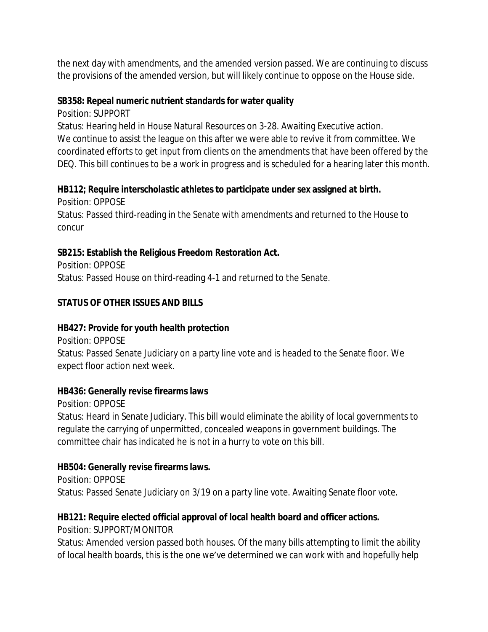the next day with amendments, and the amended version passed. We are continuing to discuss the provisions of the amended version, but will likely continue to oppose on the House side.

#### **SB358: Repeal numeric nutrient standards for water quality**

Position: SUPPORT

Status: Hearing held in House Natural Resources on 3-28. Awaiting Executive action. We continue to assist the league on this after we were able to revive it from committee. We coordinated efforts to get input from clients on the amendments that have been offered by the DEQ. This bill continues to be a work in progress and is scheduled for a hearing later this month.

#### **HB112; Require interscholastic athletes to participate under sex assigned at birth.**

Position: OPPOSE Status: Passed third-reading in the Senate with amendments and returned to the House to concur

## **SB215: Establish the Religious Freedom Restoration Act.**

Position: OPPOSE Status: Passed House on third-reading 4-1 and returned to the Senate.

## **STATUS OF OTHER ISSUES AND BILLS**

## **HB427: Provide for youth health protection**

Position: OPPOSE Status: Passed Senate Judiciary on a party line vote and is headed to the Senate floor. We expect floor action next week.

## **HB436: Generally revise firearms laws**

Position: OPPOSE

Status: Heard in Senate Judiciary. This bill would eliminate the ability of local governments to regulate the carrying of unpermitted, concealed weapons in government buildings. The committee chair has indicated he is not in a hurry to vote on this bill.

## **HB504: Generally revise firearms laws.**

Position: OPPOSE Status: Passed Senate Judiciary on 3/19 on a party line vote. Awaiting Senate floor vote.

## **HB121: Require elected official approval of local health board and officer actions.**

Position: SUPPORT/MONITOR

Status: Amended version passed both houses. Of the many bills attempting to limit the ability of local health boards, this is the one we've determined we can work with and hopefully help